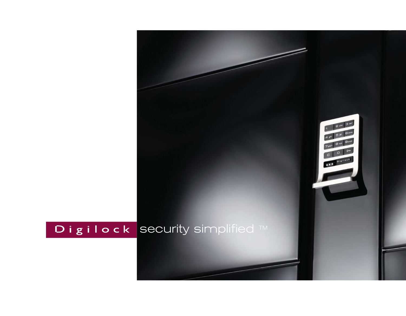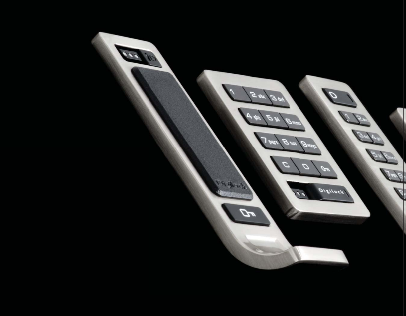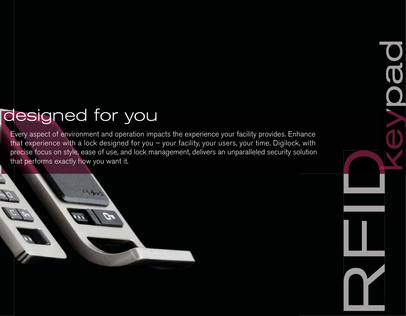# designed for you

Every aspect of environment and operation impacts the experience your facility provides. Enhance that experience with a lock designed for you – your facility, your users, your time. Digilock, with precise focus on style, ease of use, and lock management, delivers an unparalleled security solution that performs exactly how you want it.



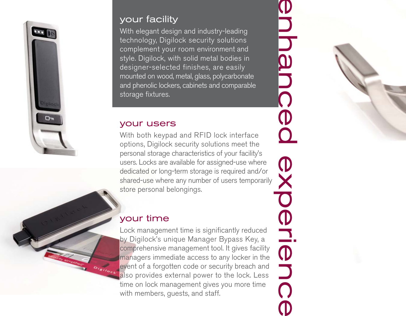

#### your facility

With elegant design and industry-leading technology, Digilock security solutions complement your room environment and style. Digilock, with solid metal bodies in designer-selected finishes, are easily mounted on wood, metal, glass, polycarbonate and phenolic lockers, cabinets and comparable storage fixtures.

#### your users

With both keypad and RFID lock interface options, Digilock security solutions meet the personal storage characteristics of your facility's users. Locks are available for assigned-use where dedicated or long-term storage is required and/or shared-use where any number of users temporarily store personal belongings.

#### your time

Lock management time is significantly reduced by Digilock's unique Manager Bypass Key, a comprehensive management tool. It gives facility managers immediate access to any locker in the event of a forgotten code or security breach and also provides external power to the lock. Less time on lock management gives you more time with members, guests, and staff.

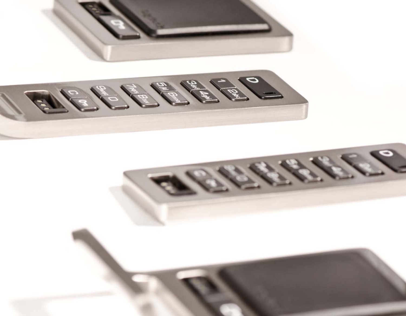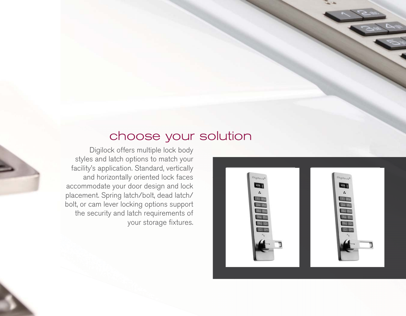### choose your solution

Digilock offers multiple lock body styles and latch options to match your facility's application. Standard, vertically and horizontally oriented lock faces accommodate your door design and lock placement. Spring latch/bolt, dead latch/ bolt, or cam lever locking options support the security and latch requirements of your storage fixtures.

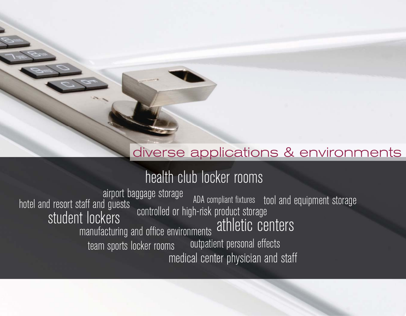### diverse applications & environments

## health club locker rooms

hotel and resort staff and guests team sports locker rooms outpatient personal effects medical center physician and staff L IOCKETS<br>manufacturing and office environments athletic centers ADA compliant fixtures tool and equipment storage student lockers' airport baggage storage controlled or high-risk product storage